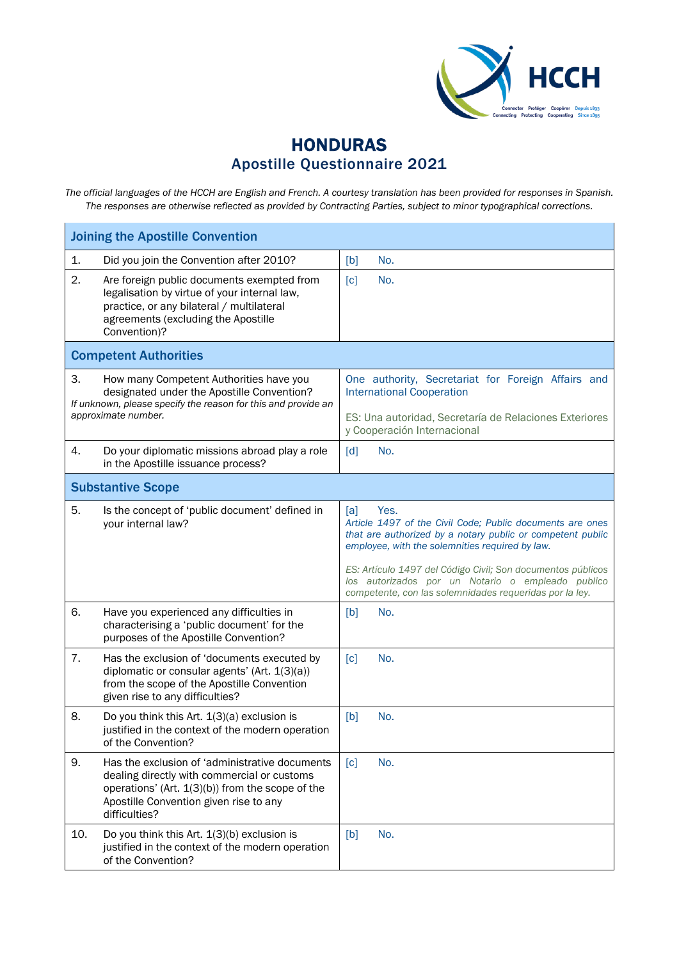

## HONDURAS Apostille Questionnaire 2021

*The official languages of the HCCH are English and French. A courtesy translation has been provided for responses in Spanish. The responses are otherwise reflected as provided by Contracting Parties, subject to minor typographical corrections.*

| <b>Joining the Apostille Convention</b>                                                                                                                                                                            |                                                                                                                                                                                           |  |  |  |
|--------------------------------------------------------------------------------------------------------------------------------------------------------------------------------------------------------------------|-------------------------------------------------------------------------------------------------------------------------------------------------------------------------------------------|--|--|--|
| Did you join the Convention after 2010?<br>1.                                                                                                                                                                      | [b]<br>No.                                                                                                                                                                                |  |  |  |
| 2.<br>Are foreign public documents exempted from<br>legalisation by virtue of your internal law,<br>practice, or any bilateral / multilateral<br>agreements (excluding the Apostille<br>Convention)?               | [c]<br>No.                                                                                                                                                                                |  |  |  |
| <b>Competent Authorities</b>                                                                                                                                                                                       |                                                                                                                                                                                           |  |  |  |
| 3.<br>How many Competent Authorities have you<br>designated under the Apostille Convention?<br>If unknown, please specify the reason for this and provide an<br>approximate number.                                | One authority, Secretariat for Foreign Affairs and<br><b>International Cooperation</b><br>ES: Una autoridad, Secretaría de Relaciones Exteriores                                          |  |  |  |
|                                                                                                                                                                                                                    | y Cooperación Internacional                                                                                                                                                               |  |  |  |
| 4.<br>Do your diplomatic missions abroad play a role<br>in the Apostille issuance process?                                                                                                                         | [d]<br>No.                                                                                                                                                                                |  |  |  |
| <b>Substantive Scope</b>                                                                                                                                                                                           |                                                                                                                                                                                           |  |  |  |
| 5.<br>Is the concept of 'public document' defined in<br>your internal law?                                                                                                                                         | [a]<br>Yes.<br>Article 1497 of the Civil Code; Public documents are ones<br>that are authorized by a notary public or competent public<br>employee, with the solemnities required by law. |  |  |  |
|                                                                                                                                                                                                                    | ES: Artículo 1497 del Código Civil; Son documentos públicos<br>los autorizados por un Notario o empleado publico<br>competente, con las solemnidades requeridas por la ley.               |  |  |  |
| 6.<br>Have you experienced any difficulties in<br>characterising a 'public document' for the<br>purposes of the Apostille Convention?                                                                              | [b]<br>No.                                                                                                                                                                                |  |  |  |
| 7.<br>Has the exclusion of 'documents executed by<br>diplomatic or consular agents' (Art. 1(3)(a))<br>from the scope of the Apostille Convention<br>given rise to any difficulties?                                | [c]<br>No.                                                                                                                                                                                |  |  |  |
| 8.<br>Do you think this Art. $1(3)(a)$ exclusion is<br>justified in the context of the modern operation<br>of the Convention?                                                                                      | [b]<br>No.                                                                                                                                                                                |  |  |  |
| 9.<br>Has the exclusion of 'administrative documents<br>dealing directly with commercial or customs<br>operations' (Art. 1(3)(b)) from the scope of the<br>Apostille Convention given rise to any<br>difficulties? | No.<br>[c]                                                                                                                                                                                |  |  |  |
| 10.<br>Do you think this Art. 1(3)(b) exclusion is<br>justified in the context of the modern operation<br>of the Convention?                                                                                       | [b]<br>No.                                                                                                                                                                                |  |  |  |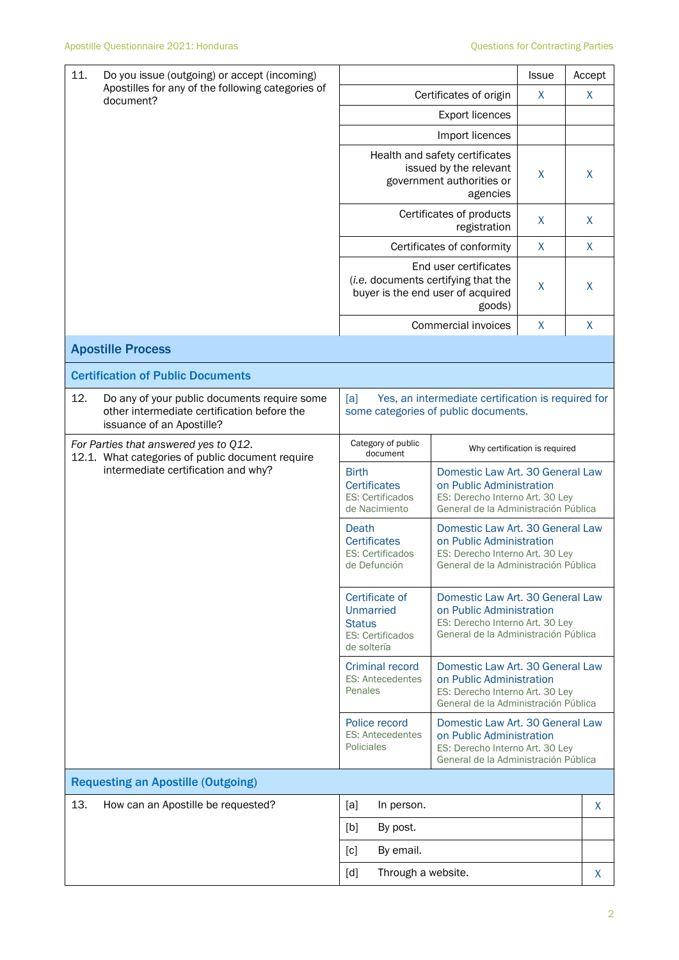| 11.                                                                                       | Do you issue (outgoing) or accept (incoming)                                                |                                                                                                                                                                                                      |                                                                                                                                                                                              |                                                                                                                                         | <b>Issue</b> | Accept       |
|-------------------------------------------------------------------------------------------|---------------------------------------------------------------------------------------------|------------------------------------------------------------------------------------------------------------------------------------------------------------------------------------------------------|----------------------------------------------------------------------------------------------------------------------------------------------------------------------------------------------|-----------------------------------------------------------------------------------------------------------------------------------------|--------------|--------------|
| Apostilles for any of the following categories of<br>document?                            | Certificates of origin                                                                      |                                                                                                                                                                                                      |                                                                                                                                                                                              | X                                                                                                                                       | X            |              |
|                                                                                           | <b>Export licences</b>                                                                      |                                                                                                                                                                                                      |                                                                                                                                                                                              |                                                                                                                                         |              |              |
|                                                                                           |                                                                                             |                                                                                                                                                                                                      |                                                                                                                                                                                              | Import licences                                                                                                                         |              |              |
|                                                                                           |                                                                                             |                                                                                                                                                                                                      |                                                                                                                                                                                              | Health and safety certificates<br>issued by the relevant<br>government authorities or<br>agencies                                       | X            | X            |
|                                                                                           |                                                                                             |                                                                                                                                                                                                      |                                                                                                                                                                                              | Certificates of products<br>registration                                                                                                | X            | X            |
|                                                                                           |                                                                                             |                                                                                                                                                                                                      |                                                                                                                                                                                              | Certificates of conformity                                                                                                              | $\mathsf{X}$ | $\mathsf{X}$ |
|                                                                                           |                                                                                             | End user certificates<br>(i.e. documents certifying that the<br>buyer is the end user of acquired<br>goods)                                                                                          |                                                                                                                                                                                              |                                                                                                                                         | X            | $\sf X$      |
|                                                                                           |                                                                                             |                                                                                                                                                                                                      |                                                                                                                                                                                              | Commercial invoices                                                                                                                     | X            | X            |
| <b>Apostille Process</b>                                                                  |                                                                                             |                                                                                                                                                                                                      |                                                                                                                                                                                              |                                                                                                                                         |              |              |
| <b>Certification of Public Documents</b>                                                  |                                                                                             |                                                                                                                                                                                                      |                                                                                                                                                                                              |                                                                                                                                         |              |              |
| 12.<br>issuance of an Apostille?                                                          | Do any of your public documents require some<br>other intermediate certification before the | [a]                                                                                                                                                                                                  |                                                                                                                                                                                              | Yes, an intermediate certification is required for<br>some categories of public documents.                                              |              |              |
| For Parties that answered yes to Q12.<br>12.1. What categories of public document require |                                                                                             |                                                                                                                                                                                                      | Category of public<br>document                                                                                                                                                               | Why certification is required                                                                                                           |              |              |
| intermediate certification and why?                                                       | <b>Birth</b>                                                                                | <b>Certificates</b><br><b>ES: Certificados</b><br>de Nacimiento                                                                                                                                      | Domestic Law Art. 30 General Law<br>on Public Administration<br>ES: Derecho Interno Art. 30 Ley<br>General de la Administración Pública                                                      |                                                                                                                                         |              |              |
|                                                                                           |                                                                                             | Death                                                                                                                                                                                                | <b>Certificates</b><br><b>ES: Certificados</b><br>de Defunción                                                                                                                               | Domestic Law Art. 30 General Law<br>on Public Administration<br>ES: Derecho Interno Art. 30 Ley<br>General de la Administración Pública |              |              |
|                                                                                           |                                                                                             | Certificate of<br><b>Unmarried</b><br>on Public Administration<br>ES: Derecho Interno Art. 30 Ley<br><b>Status</b><br>General de la Administración Pública<br><b>ES: Certificados</b><br>de soltería |                                                                                                                                                                                              | Domestic Law Art, 30 General Law                                                                                                        |              |              |
|                                                                                           |                                                                                             | Penales                                                                                                                                                                                              | <b>Criminal record</b><br>Domestic Law Art, 30 General Law<br><b>ES: Antecedentes</b><br>on Public Administration<br>ES: Derecho Interno Art. 30 Ley<br>General de la Administración Pública |                                                                                                                                         |              |              |
|                                                                                           |                                                                                             | Police record<br>Domestic Law Art, 30 General Law<br><b>ES: Antecedentes</b><br>on Public Administration<br>Policiales<br>ES: Derecho Interno Art. 30 Ley<br>General de la Administración Pública    |                                                                                                                                                                                              |                                                                                                                                         |              |              |
| <b>Requesting an Apostille (Outgoing)</b>                                                 |                                                                                             |                                                                                                                                                                                                      |                                                                                                                                                                                              |                                                                                                                                         |              |              |
| 13.                                                                                       | How can an Apostille be requested?                                                          | [a]                                                                                                                                                                                                  | In person.                                                                                                                                                                                   |                                                                                                                                         |              | X            |
|                                                                                           |                                                                                             | [b]                                                                                                                                                                                                  | By post.                                                                                                                                                                                     |                                                                                                                                         |              |              |
|                                                                                           |                                                                                             | [c]                                                                                                                                                                                                  | By email.                                                                                                                                                                                    |                                                                                                                                         |              |              |
|                                                                                           |                                                                                             | $\lceil d \rceil$                                                                                                                                                                                    | Through a website.                                                                                                                                                                           |                                                                                                                                         |              | X.           |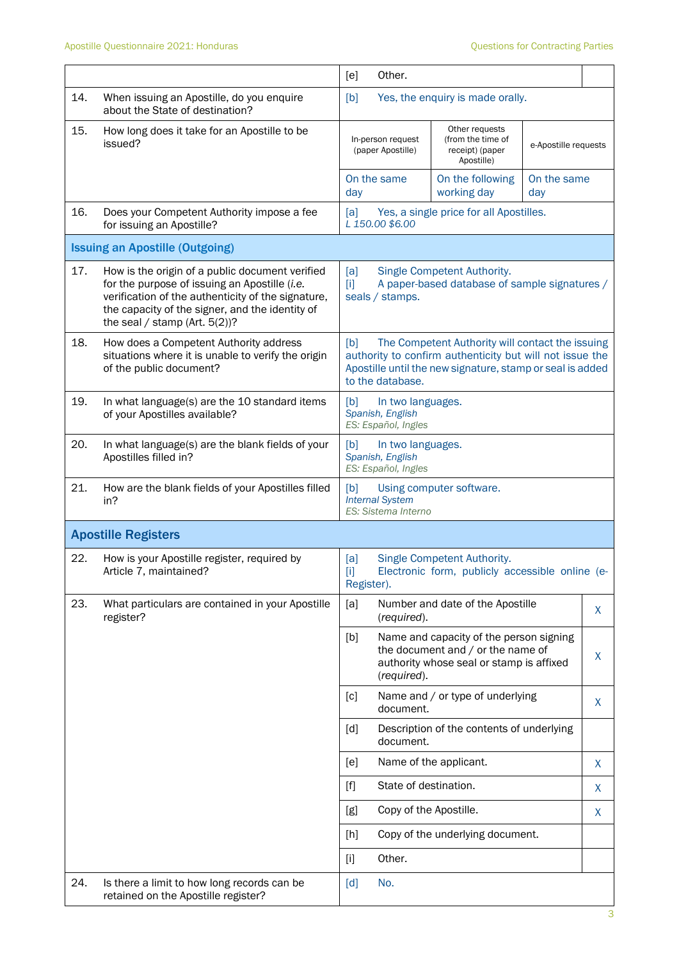|     |                                                                                                                                                                                                                                               | [e]                                                                                                                                                                                                  | Other.                                                       |                                                                                                                          |                      |   |
|-----|-----------------------------------------------------------------------------------------------------------------------------------------------------------------------------------------------------------------------------------------------|------------------------------------------------------------------------------------------------------------------------------------------------------------------------------------------------------|--------------------------------------------------------------|--------------------------------------------------------------------------------------------------------------------------|----------------------|---|
| 14. | When issuing an Apostille, do you enquire<br>about the State of destination?                                                                                                                                                                  | [b]                                                                                                                                                                                                  |                                                              | Yes, the enquiry is made orally.                                                                                         |                      |   |
| 15. | How long does it take for an Apostille to be<br>issued?                                                                                                                                                                                       |                                                                                                                                                                                                      | In-person request<br>(paper Apostille)                       | Other requests<br>(from the time of<br>receipt) (paper<br>Apostille)                                                     | e-Apostille requests |   |
|     |                                                                                                                                                                                                                                               | day                                                                                                                                                                                                  | On the same                                                  | On the following<br>working day                                                                                          | On the same<br>day   |   |
| 16. | Does your Competent Authority impose a fee<br>for issuing an Apostille?                                                                                                                                                                       | [a]                                                                                                                                                                                                  | L 150.00 \$6.00                                              | Yes, a single price for all Apostilles.                                                                                  |                      |   |
|     | <b>Issuing an Apostille (Outgoing)</b>                                                                                                                                                                                                        |                                                                                                                                                                                                      |                                                              |                                                                                                                          |                      |   |
| 17. | How is the origin of a public document verified<br>for the purpose of issuing an Apostille (i.e.<br>verification of the authenticity of the signature,<br>the capacity of the signer, and the identity of<br>the seal / stamp (Art. $5(2)$ )? | [a]<br>$[1]$                                                                                                                                                                                         | seals / stamps.                                              | Single Competent Authority.<br>A paper-based database of sample signatures /                                             |                      |   |
| 18. | How does a Competent Authority address<br>situations where it is unable to verify the origin<br>of the public document?                                                                                                                       | The Competent Authority will contact the issuing<br>[b]<br>authority to confirm authenticity but will not issue the<br>Apostille until the new signature, stamp or seal is added<br>to the database. |                                                              |                                                                                                                          |                      |   |
| 19. | In what language(s) are the 10 standard items<br>of your Apostilles available?                                                                                                                                                                | [b]                                                                                                                                                                                                  | In two languages.<br>Spanish, English<br>ES: Español, Ingles |                                                                                                                          |                      |   |
| 20. | In what language(s) are the blank fields of your<br>Apostilles filled in?                                                                                                                                                                     | [b]                                                                                                                                                                                                  | In two languages.<br>Spanish, English<br>ES: Español, Ingles |                                                                                                                          |                      |   |
| 21. | How are the blank fields of your Apostilles filled<br>in?                                                                                                                                                                                     | [b]                                                                                                                                                                                                  | <b>Internal System</b><br>ES: Sistema Interno                | Using computer software.                                                                                                 |                      |   |
|     | <b>Apostille Registers</b>                                                                                                                                                                                                                    |                                                                                                                                                                                                      |                                                              |                                                                                                                          |                      |   |
| 22. | How is your Apostille register, required by<br>Article 7, maintained?                                                                                                                                                                         | [a]<br>[1]<br>Register).                                                                                                                                                                             |                                                              | Single Competent Authority.<br>Electronic form, publicly accessible online (e-                                           |                      |   |
| 23. | What particulars are contained in your Apostille<br>register?                                                                                                                                                                                 | [a]                                                                                                                                                                                                  | (required).                                                  | Number and date of the Apostille                                                                                         |                      | X |
|     |                                                                                                                                                                                                                                               | [b]                                                                                                                                                                                                  | (required).                                                  | Name and capacity of the person signing<br>the document and / or the name of<br>authority whose seal or stamp is affixed |                      | X |
|     |                                                                                                                                                                                                                                               | [c]                                                                                                                                                                                                  | document.                                                    | Name and / or type of underlying                                                                                         |                      | X |
|     |                                                                                                                                                                                                                                               | [d]                                                                                                                                                                                                  | document.                                                    | Description of the contents of underlying                                                                                |                      |   |
|     |                                                                                                                                                                                                                                               | [ <sub>e</sub> ]                                                                                                                                                                                     |                                                              | Name of the applicant.                                                                                                   |                      | X |
|     |                                                                                                                                                                                                                                               | $[f]$                                                                                                                                                                                                | State of destination.                                        |                                                                                                                          |                      | X |
|     |                                                                                                                                                                                                                                               | [g]                                                                                                                                                                                                  | Copy of the Apostille.                                       |                                                                                                                          |                      | X |
|     |                                                                                                                                                                                                                                               | [h]                                                                                                                                                                                                  |                                                              | Copy of the underlying document.                                                                                         |                      |   |
|     |                                                                                                                                                                                                                                               | $[1]$                                                                                                                                                                                                | Other.                                                       |                                                                                                                          |                      |   |
| 24. | Is there a limit to how long records can be<br>retained on the Apostille register?                                                                                                                                                            | [d]                                                                                                                                                                                                  | No.                                                          |                                                                                                                          |                      |   |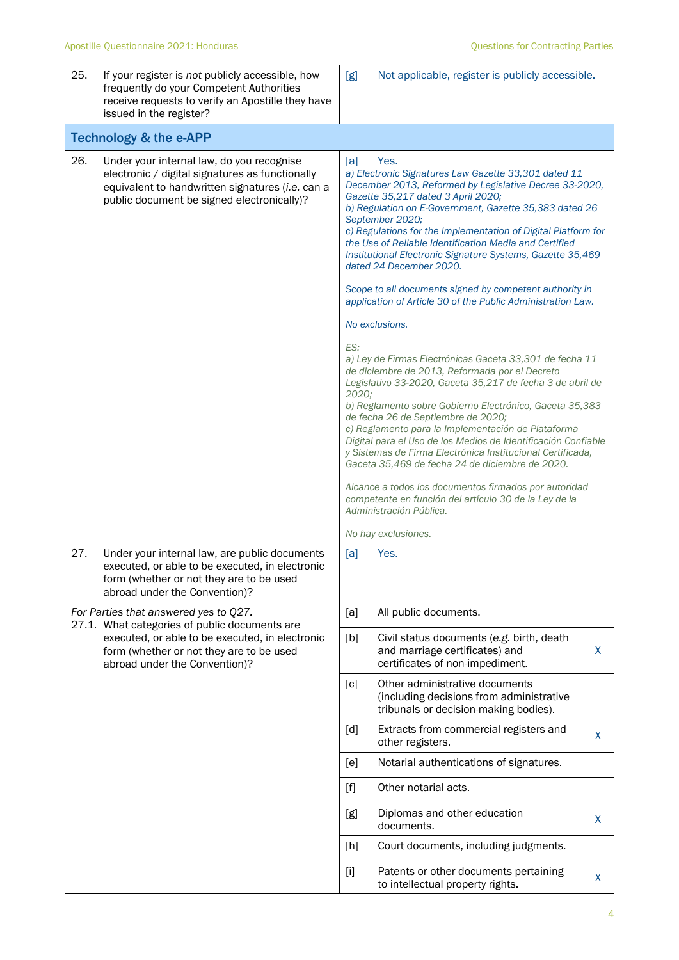| 25. | If your register is not publicly accessible, how<br>frequently do your Competent Authorities<br>receive requests to verify an Apostille they have<br>issued in the register?                   | [g]<br>Not applicable, register is publicly accessible.                                                                                                                                                                                                                                                                                                                                                                                                                                                                                                                                                                                                                                                                                                                                                                                                                                                                                                                                                                                                                                                                                                                                                                                                                                          |         |  |  |  |  |
|-----|------------------------------------------------------------------------------------------------------------------------------------------------------------------------------------------------|--------------------------------------------------------------------------------------------------------------------------------------------------------------------------------------------------------------------------------------------------------------------------------------------------------------------------------------------------------------------------------------------------------------------------------------------------------------------------------------------------------------------------------------------------------------------------------------------------------------------------------------------------------------------------------------------------------------------------------------------------------------------------------------------------------------------------------------------------------------------------------------------------------------------------------------------------------------------------------------------------------------------------------------------------------------------------------------------------------------------------------------------------------------------------------------------------------------------------------------------------------------------------------------------------|---------|--|--|--|--|
|     | <b>Technology &amp; the e-APP</b>                                                                                                                                                              |                                                                                                                                                                                                                                                                                                                                                                                                                                                                                                                                                                                                                                                                                                                                                                                                                                                                                                                                                                                                                                                                                                                                                                                                                                                                                                  |         |  |  |  |  |
| 26. | Under your internal law, do you recognise<br>electronic / digital signatures as functionally<br>equivalent to handwritten signatures (i.e. can a<br>public document be signed electronically)? | Yes.<br>[a]<br>a) Electronic Signatures Law Gazette 33,301 dated 11<br>December 2013, Reformed by Legislative Decree 33-2020,<br>Gazette 35,217 dated 3 April 2020;<br>b) Regulation on E-Government, Gazette 35,383 dated 26<br>September 2020;<br>c) Regulations for the Implementation of Digital Platform for<br>the Use of Reliable Identification Media and Certified<br>Institutional Electronic Signature Systems, Gazette 35,469<br>dated 24 December 2020.<br>Scope to all documents signed by competent authority in<br>application of Article 30 of the Public Administration Law.<br>No exclusions.<br>ES:<br>a) Ley de Firmas Electrónicas Gaceta 33,301 de fecha 11<br>de diciembre de 2013, Reformada por el Decreto<br>Legislativo 33-2020, Gaceta 35,217 de fecha 3 de abril de<br>2020;<br>b) Reglamento sobre Gobierno Electrónico, Gaceta 35,383<br>de fecha 26 de Septiembre de 2020;<br>c) Reglamento para la Implementación de Plataforma<br>Digital para el Uso de los Medios de Identificación Confiable<br>y Sistemas de Firma Electrónica Institucional Certificada,<br>Gaceta 35,469 de fecha 24 de diciembre de 2020.<br>Alcance a todos los documentos firmados por autoridad<br>competente en función del artículo 30 de la Ley de la<br>Administración Pública. |         |  |  |  |  |
| 27. | Under your internal law, are public documents<br>executed, or able to be executed, in electronic<br>form (whether or not they are to be used<br>abroad under the Convention)?                  | No hay exclusiones.<br>Yes.<br>[a]                                                                                                                                                                                                                                                                                                                                                                                                                                                                                                                                                                                                                                                                                                                                                                                                                                                                                                                                                                                                                                                                                                                                                                                                                                                               |         |  |  |  |  |
|     | For Parties that answered yes to Q27.                                                                                                                                                          | [a]<br>All public documents.                                                                                                                                                                                                                                                                                                                                                                                                                                                                                                                                                                                                                                                                                                                                                                                                                                                                                                                                                                                                                                                                                                                                                                                                                                                                     |         |  |  |  |  |
|     | 27.1. What categories of public documents are<br>executed, or able to be executed, in electronic<br>form (whether or not they are to be used<br>abroad under the Convention)?                  | [b]<br>Civil status documents (e.g. birth, death<br>and marriage certificates) and<br>certificates of non-impediment.                                                                                                                                                                                                                                                                                                                                                                                                                                                                                                                                                                                                                                                                                                                                                                                                                                                                                                                                                                                                                                                                                                                                                                            | $\sf X$ |  |  |  |  |
|     |                                                                                                                                                                                                | Other administrative documents<br>[c]<br>(including decisions from administrative<br>tribunals or decision-making bodies).                                                                                                                                                                                                                                                                                                                                                                                                                                                                                                                                                                                                                                                                                                                                                                                                                                                                                                                                                                                                                                                                                                                                                                       |         |  |  |  |  |
|     |                                                                                                                                                                                                | [d]<br>Extracts from commercial registers and<br>other registers.                                                                                                                                                                                                                                                                                                                                                                                                                                                                                                                                                                                                                                                                                                                                                                                                                                                                                                                                                                                                                                                                                                                                                                                                                                | X       |  |  |  |  |
|     |                                                                                                                                                                                                | Notarial authentications of signatures.<br>[e]                                                                                                                                                                                                                                                                                                                                                                                                                                                                                                                                                                                                                                                                                                                                                                                                                                                                                                                                                                                                                                                                                                                                                                                                                                                   |         |  |  |  |  |
|     |                                                                                                                                                                                                | Other notarial acts.<br>$[f]$                                                                                                                                                                                                                                                                                                                                                                                                                                                                                                                                                                                                                                                                                                                                                                                                                                                                                                                                                                                                                                                                                                                                                                                                                                                                    |         |  |  |  |  |
|     |                                                                                                                                                                                                | Diplomas and other education<br>[g]<br>documents.                                                                                                                                                                                                                                                                                                                                                                                                                                                                                                                                                                                                                                                                                                                                                                                                                                                                                                                                                                                                                                                                                                                                                                                                                                                | X       |  |  |  |  |
|     |                                                                                                                                                                                                | Court documents, including judgments.<br>[h]                                                                                                                                                                                                                                                                                                                                                                                                                                                                                                                                                                                                                                                                                                                                                                                                                                                                                                                                                                                                                                                                                                                                                                                                                                                     |         |  |  |  |  |
|     |                                                                                                                                                                                                | Patents or other documents pertaining<br>$[1]$<br>to intellectual property rights.                                                                                                                                                                                                                                                                                                                                                                                                                                                                                                                                                                                                                                                                                                                                                                                                                                                                                                                                                                                                                                                                                                                                                                                                               | X       |  |  |  |  |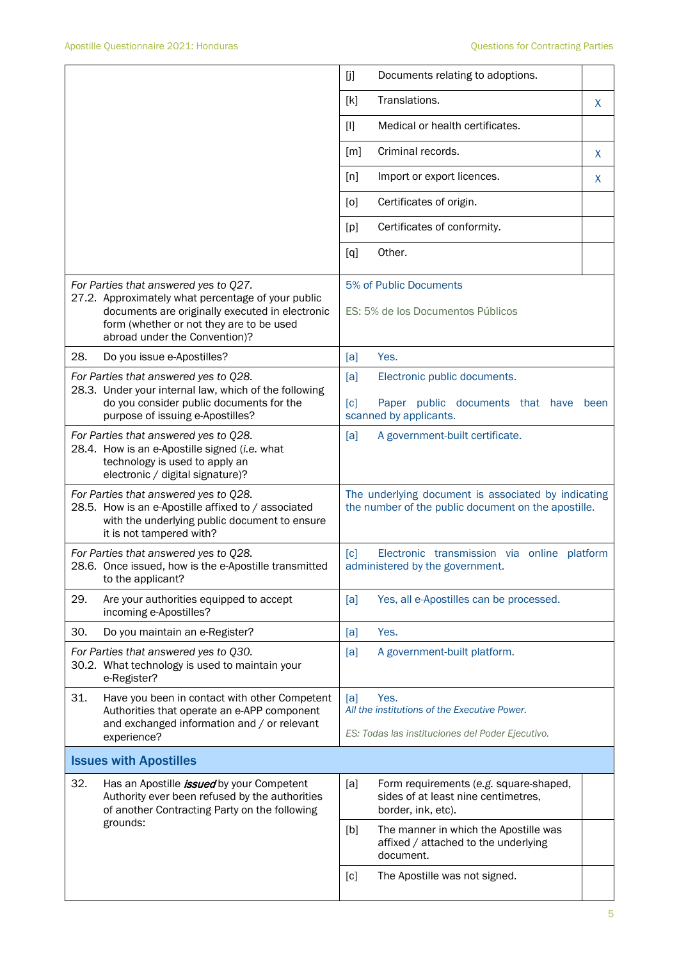|     |                                                                                                                                                                                                                             | [j]   | Documents relating to adoptions.                                                                           |      |
|-----|-----------------------------------------------------------------------------------------------------------------------------------------------------------------------------------------------------------------------------|-------|------------------------------------------------------------------------------------------------------------|------|
|     |                                                                                                                                                                                                                             | [k]   | Translations.                                                                                              | X    |
|     |                                                                                                                                                                                                                             | $[1]$ | Medical or health certificates.                                                                            |      |
|     |                                                                                                                                                                                                                             | [m]   | Criminal records.                                                                                          | X    |
|     |                                                                                                                                                                                                                             | [n]   | Import or export licences.                                                                                 | X    |
|     |                                                                                                                                                                                                                             | [0]   | Certificates of origin.                                                                                    |      |
|     |                                                                                                                                                                                                                             | [p]   | Certificates of conformity.                                                                                |      |
|     |                                                                                                                                                                                                                             | [q]   | Other.                                                                                                     |      |
|     | For Parties that answered yes to Q27.<br>27.2. Approximately what percentage of your public<br>documents are originally executed in electronic<br>form (whether or not they are to be used<br>abroad under the Convention)? |       | 5% of Public Documents<br>ES: 5% de los Documentos Públicos                                                |      |
| 28. | Do you issue e-Apostilles?                                                                                                                                                                                                  | [a]   | Yes.                                                                                                       |      |
|     | For Parties that answered yes to Q28.<br>28.3. Under your internal law, which of the following                                                                                                                              | [a]   | Electronic public documents.                                                                               |      |
|     | do you consider public documents for the<br>purpose of issuing e-Apostilles?                                                                                                                                                | [c]   | Paper public documents that have<br>scanned by applicants.                                                 | been |
|     | For Parties that answered yes to Q28.<br>28.4. How is an e-Apostille signed (i.e. what<br>technology is used to apply an<br>electronic / digital signature)?                                                                | [a]   | A government-built certificate.                                                                            |      |
|     | For Parties that answered yes to Q28.<br>28.5. How is an e-Apostille affixed to / associated<br>with the underlying public document to ensure<br>it is not tampered with?                                                   |       | The underlying document is associated by indicating<br>the number of the public document on the apostille. |      |
|     | For Parties that answered yes to Q28.<br>28.6. Once issued, how is the e-Apostille transmitted<br>to the applicant?                                                                                                         | [c]   | Electronic transmission via online platform<br>administered by the government.                             |      |
| 29. | Are your authorities equipped to accept<br>incoming e-Apostilles?                                                                                                                                                           | [a]   | Yes, all e-Apostilles can be processed.                                                                    |      |
| 30. | Do you maintain an e-Register?                                                                                                                                                                                              | [a]   | Yes.                                                                                                       |      |
|     | For Parties that answered yes to Q30.<br>30.2. What technology is used to maintain your<br>e-Register?                                                                                                                      | [a]   | A government-built platform.                                                                               |      |
| 31. | Have you been in contact with other Competent<br>Authorities that operate an e-APP component<br>and exchanged information and / or relevant                                                                                 | [a]   | Yes.<br>All the institutions of the Executive Power.                                                       |      |
|     | experience?                                                                                                                                                                                                                 |       | ES: Todas las instituciones del Poder Ejecutivo.                                                           |      |
|     | <b>Issues with Apostilles</b>                                                                                                                                                                                               |       |                                                                                                            |      |
| 32. | Has an Apostille <i>issued</i> by your Competent<br>Authority ever been refused by the authorities<br>of another Contracting Party on the following<br>grounds:                                                             | [a]   | Form requirements (e.g. square-shaped,<br>sides of at least nine centimetres,<br>border, ink, etc).        |      |
|     |                                                                                                                                                                                                                             | [b]   | The manner in which the Apostille was<br>affixed / attached to the underlying<br>document.                 |      |
|     |                                                                                                                                                                                                                             | [c]   | The Apostille was not signed.                                                                              |      |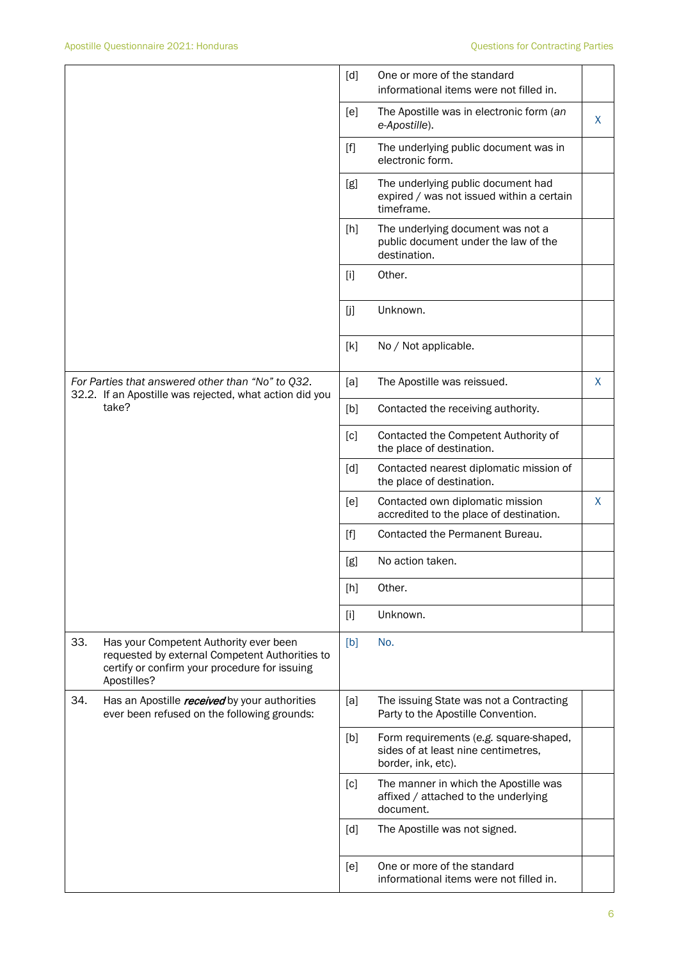|     |                                                                                                                                                          | [d]               | One or more of the standard<br>informational items were not filled in.                              |   |
|-----|----------------------------------------------------------------------------------------------------------------------------------------------------------|-------------------|-----------------------------------------------------------------------------------------------------|---|
|     |                                                                                                                                                          | [e]               | The Apostille was in electronic form (an<br>e-Apostille).                                           | X |
|     |                                                                                                                                                          | $[f]$             | The underlying public document was in<br>electronic form.                                           |   |
|     |                                                                                                                                                          | [g]               | The underlying public document had<br>expired / was not issued within a certain<br>timeframe.       |   |
|     |                                                                                                                                                          | [h]               | The underlying document was not a<br>public document under the law of the<br>destination.           |   |
|     |                                                                                                                                                          | $[1]$             | Other.                                                                                              |   |
|     |                                                                                                                                                          | [j]               | Unknown.                                                                                            |   |
|     |                                                                                                                                                          | [k]               | No / Not applicable.                                                                                |   |
|     | For Parties that answered other than "No" to Q32.<br>32.2. If an Apostille was rejected, what action did you                                             | [a]               | The Apostille was reissued.                                                                         | X |
|     | take?                                                                                                                                                    | [b]               | Contacted the receiving authority.                                                                  |   |
|     |                                                                                                                                                          | $\lceil c \rceil$ | Contacted the Competent Authority of<br>the place of destination.                                   |   |
|     |                                                                                                                                                          | [d]               | Contacted nearest diplomatic mission of<br>the place of destination.                                |   |
|     |                                                                                                                                                          | [e]               | Contacted own diplomatic mission<br>accredited to the place of destination.                         | X |
|     |                                                                                                                                                          | $[f]$             | Contacted the Permanent Bureau.                                                                     |   |
|     |                                                                                                                                                          | [g]               | No action taken.                                                                                    |   |
|     |                                                                                                                                                          | [h]               | Other.                                                                                              |   |
|     |                                                                                                                                                          | $[1]$             | Unknown.                                                                                            |   |
| 33. | Has your Competent Authority ever been<br>requested by external Competent Authorities to<br>certify or confirm your procedure for issuing<br>Apostilles? | [b]               | No.                                                                                                 |   |
| 34. | Has an Apostille received by your authorities<br>ever been refused on the following grounds:                                                             | [a]               | The issuing State was not a Contracting<br>Party to the Apostille Convention.                       |   |
|     |                                                                                                                                                          | [b]               | Form requirements (e.g. square-shaped,<br>sides of at least nine centimetres,<br>border, ink, etc). |   |
|     |                                                                                                                                                          | [c]               | The manner in which the Apostille was<br>affixed / attached to the underlying<br>document.          |   |
|     |                                                                                                                                                          | [d]               | The Apostille was not signed.                                                                       |   |
|     |                                                                                                                                                          | [e]               | One or more of the standard<br>informational items were not filled in.                              |   |